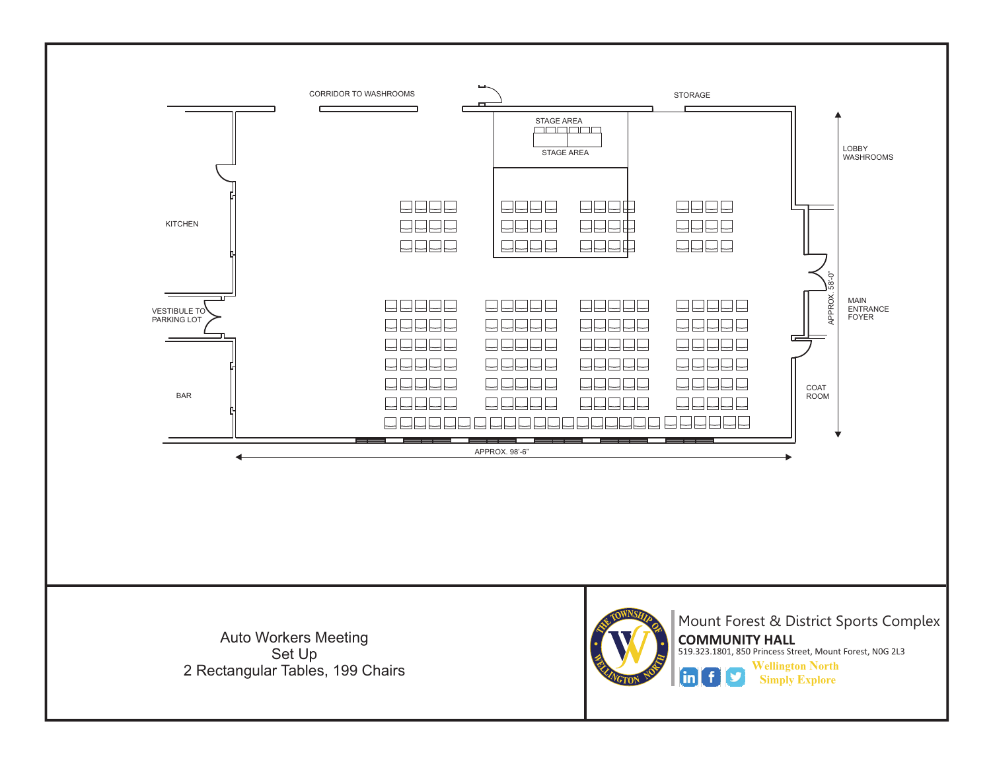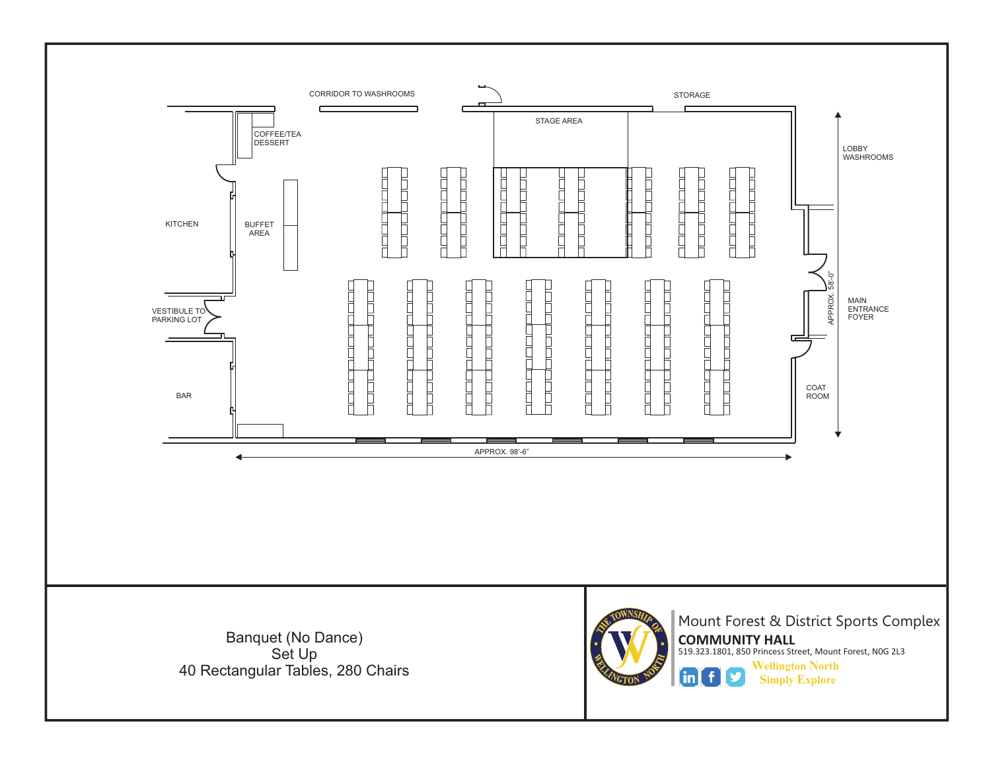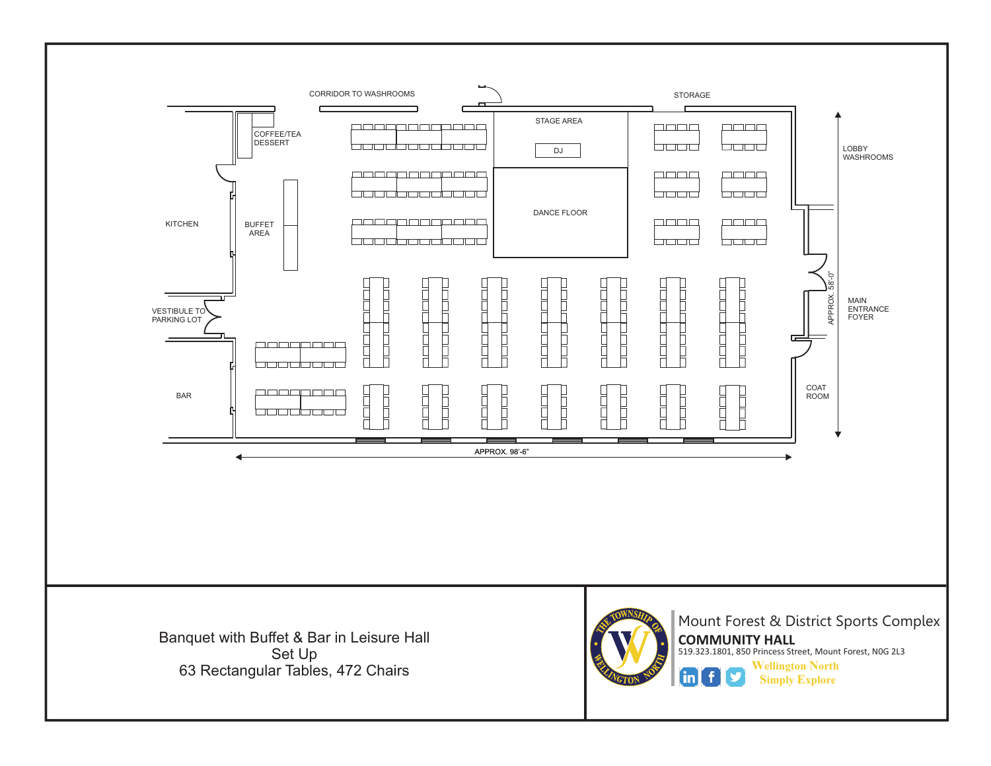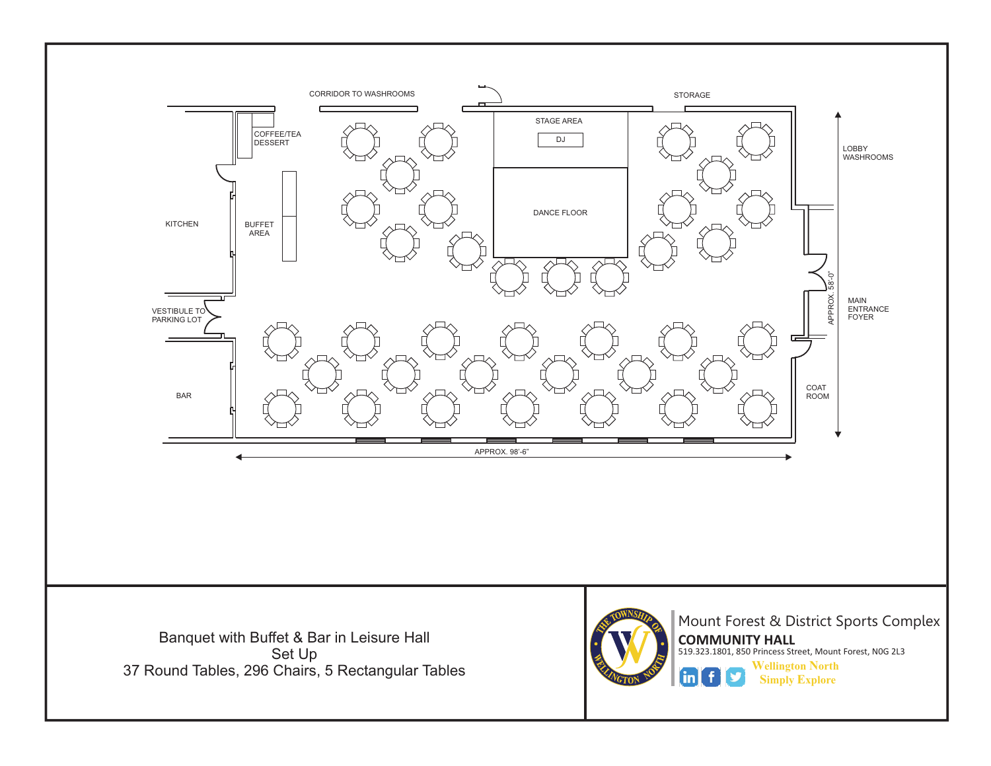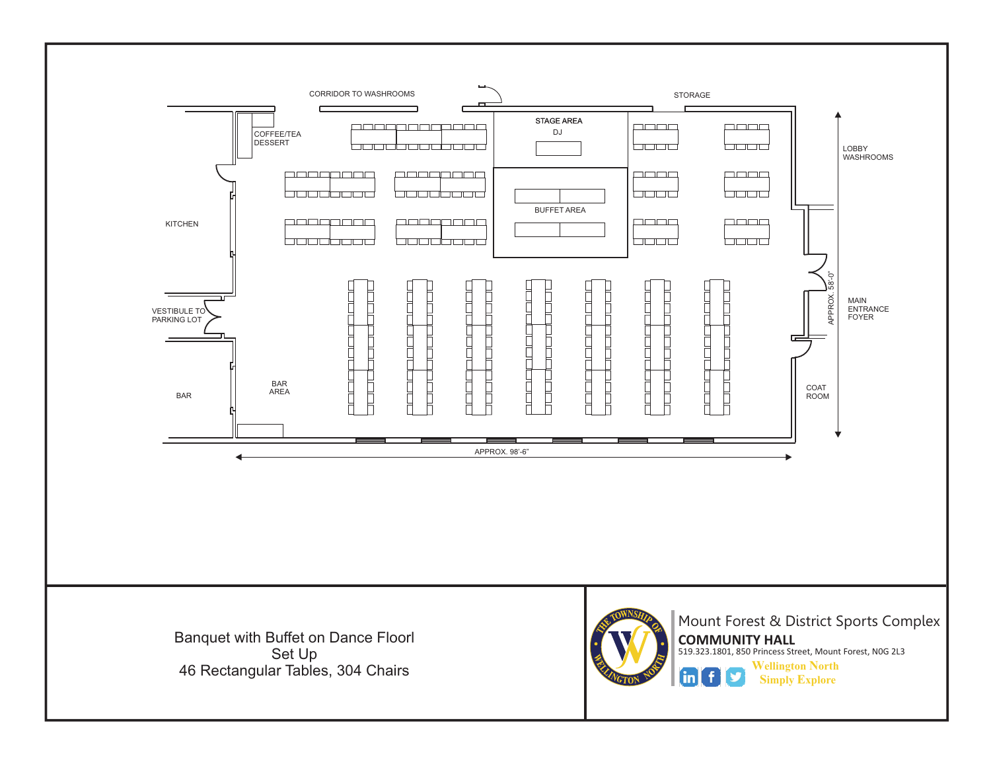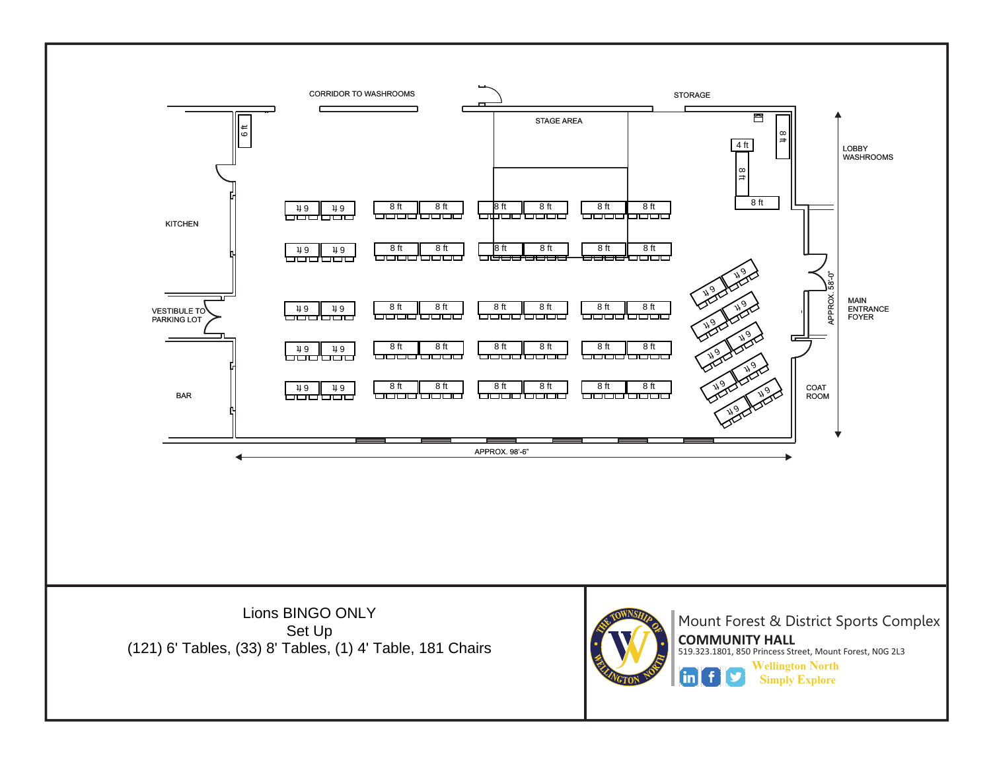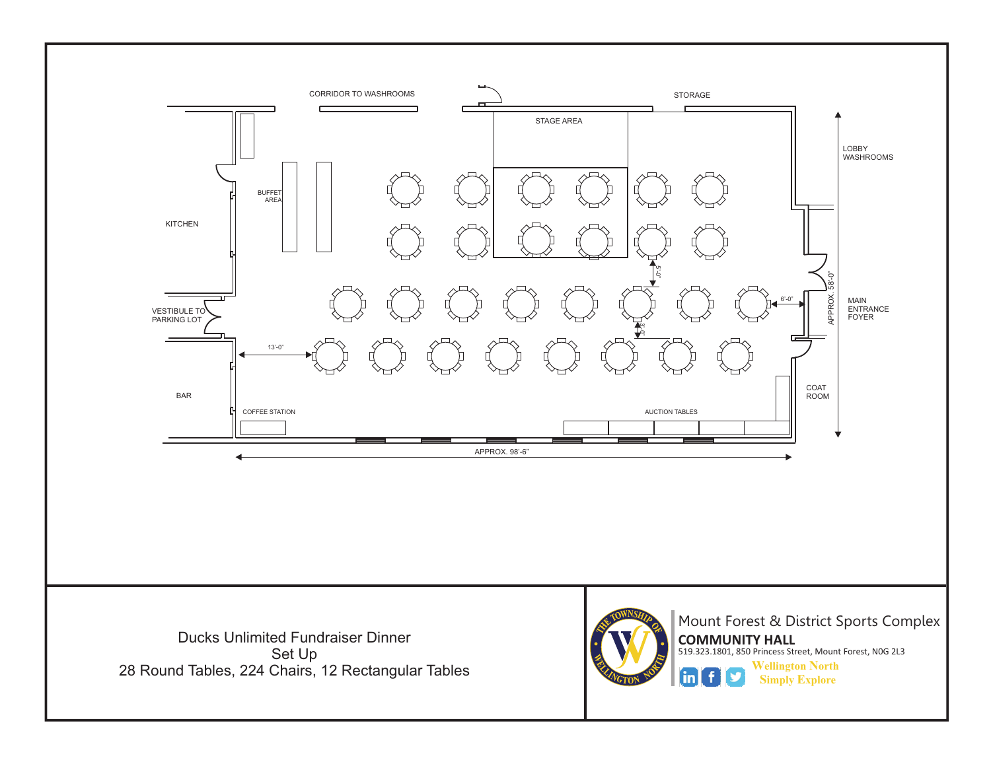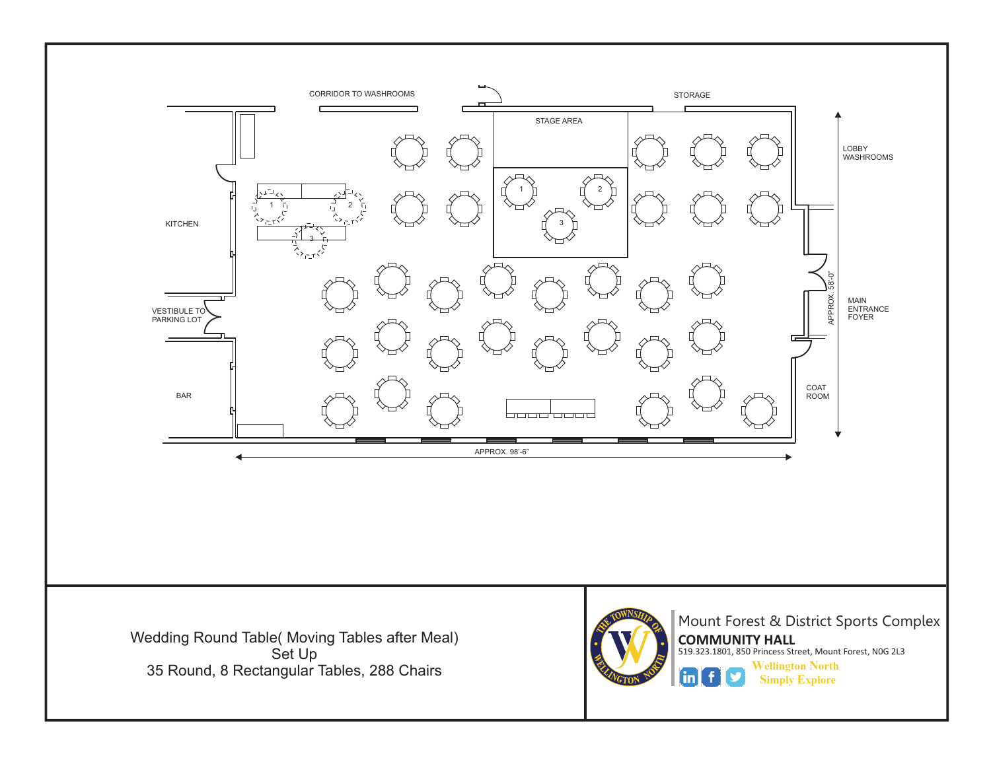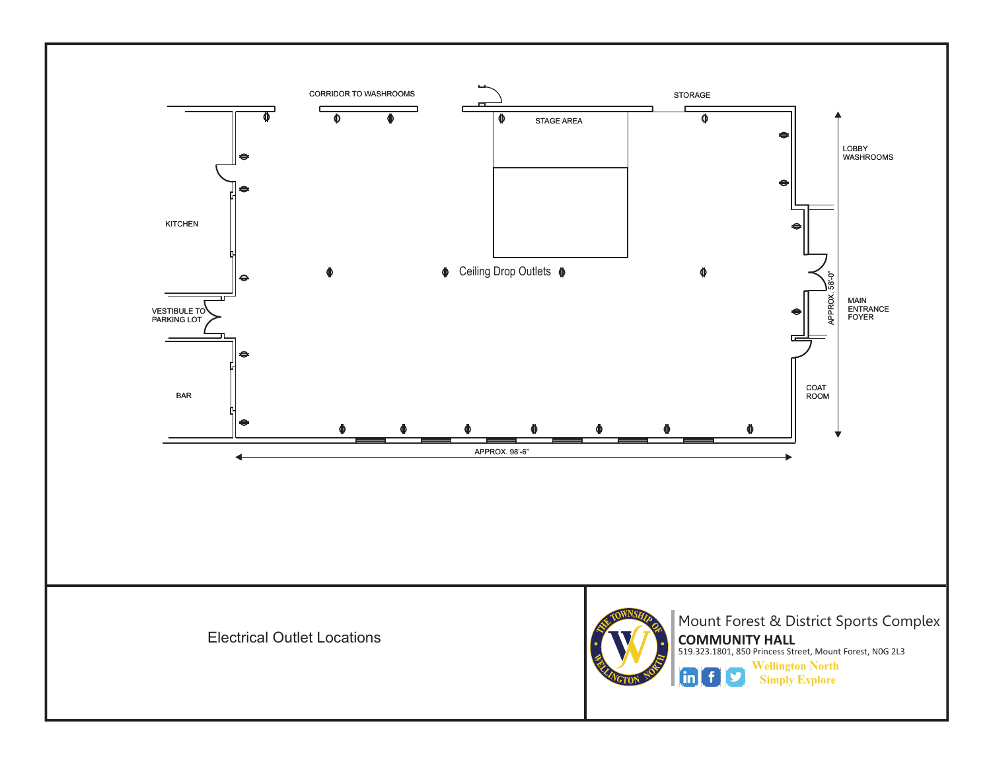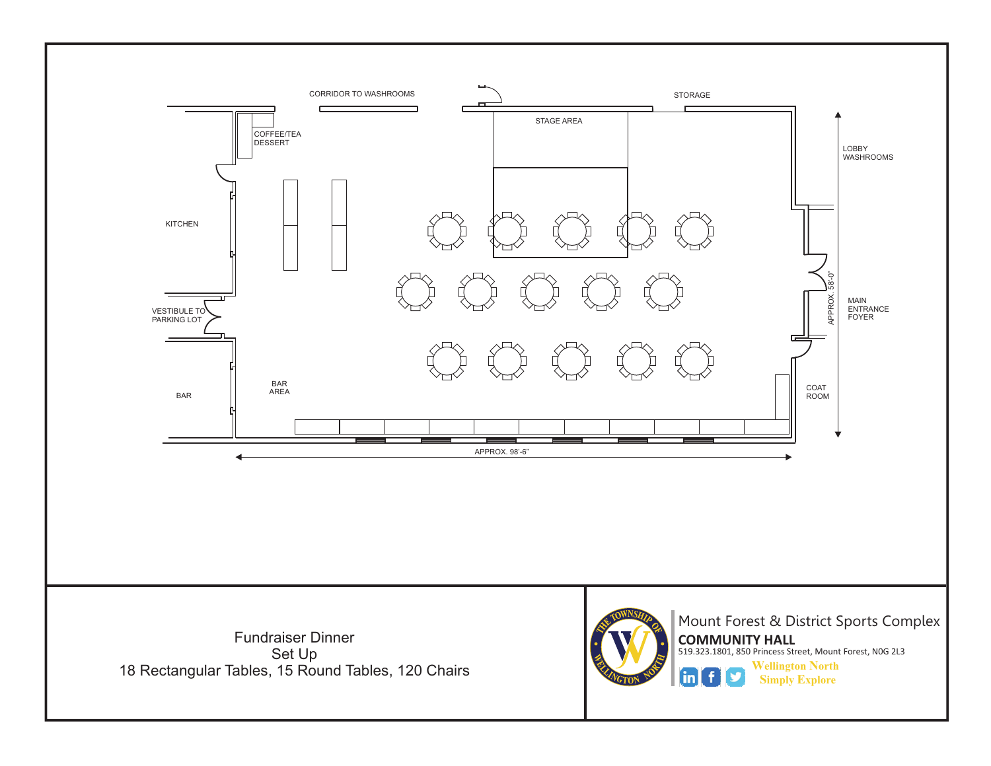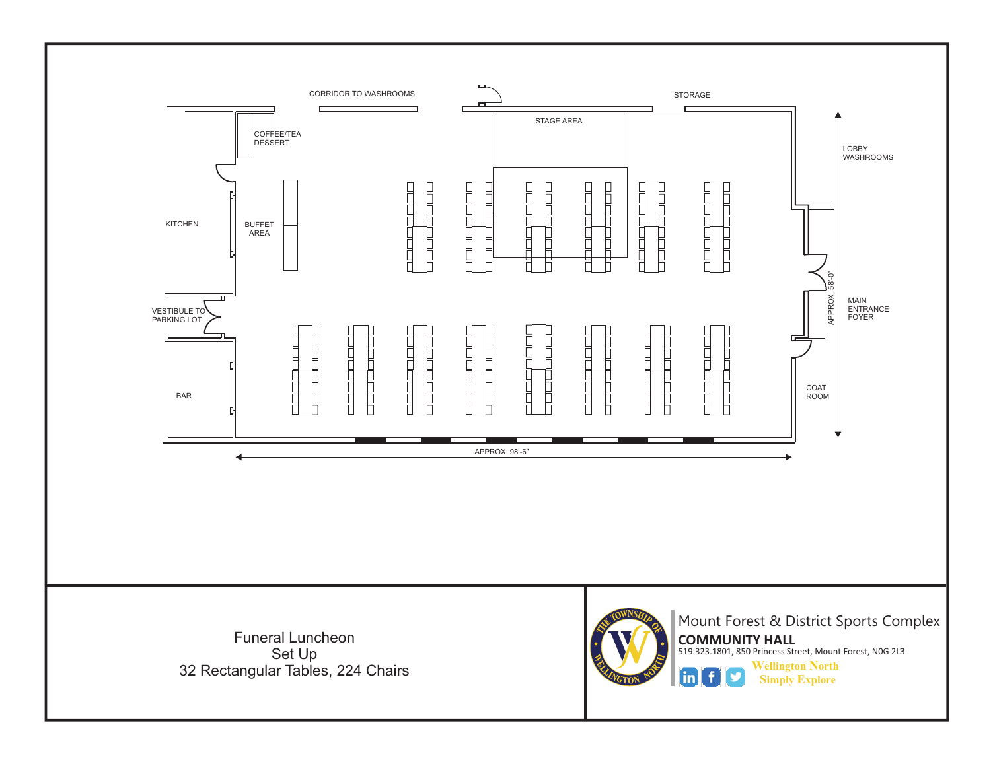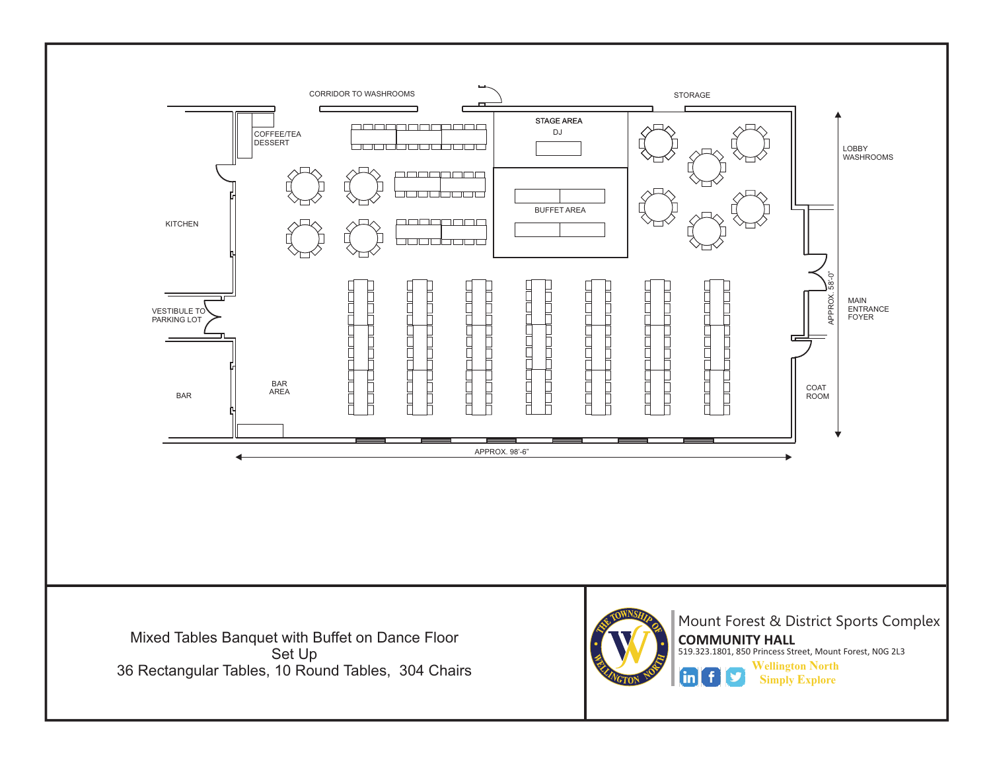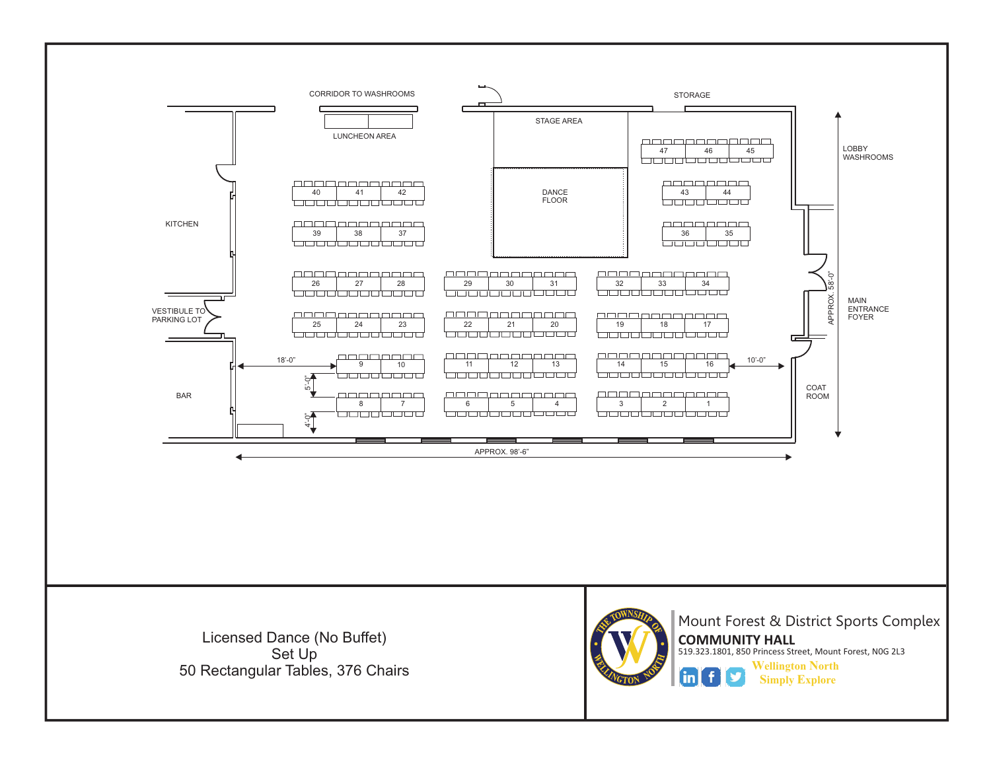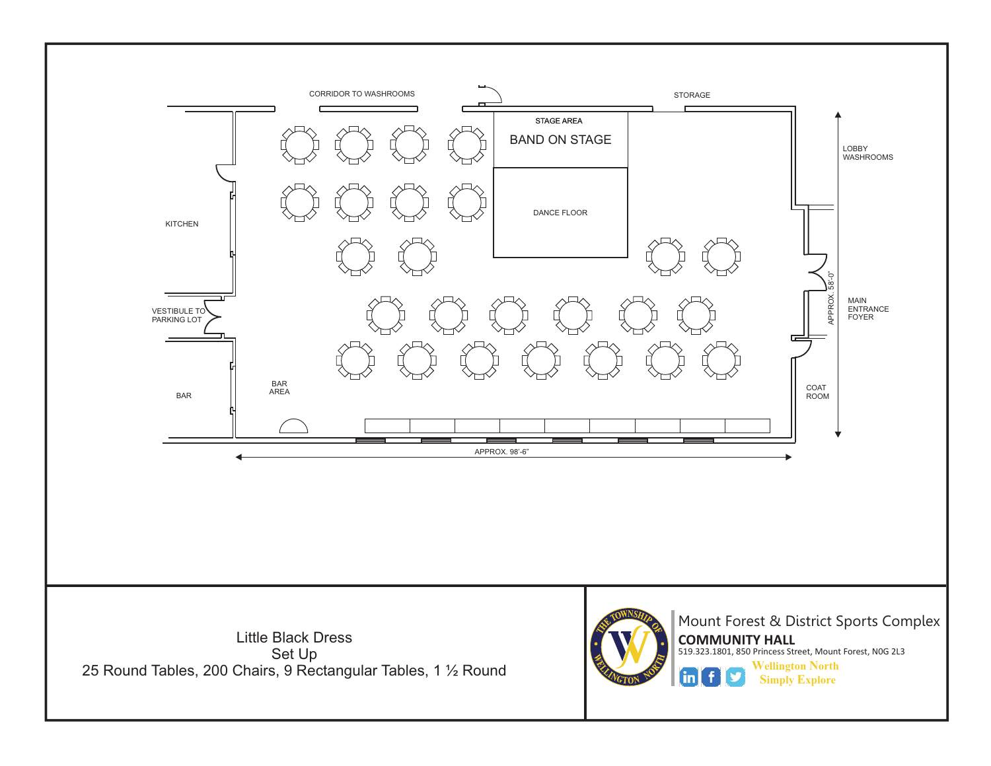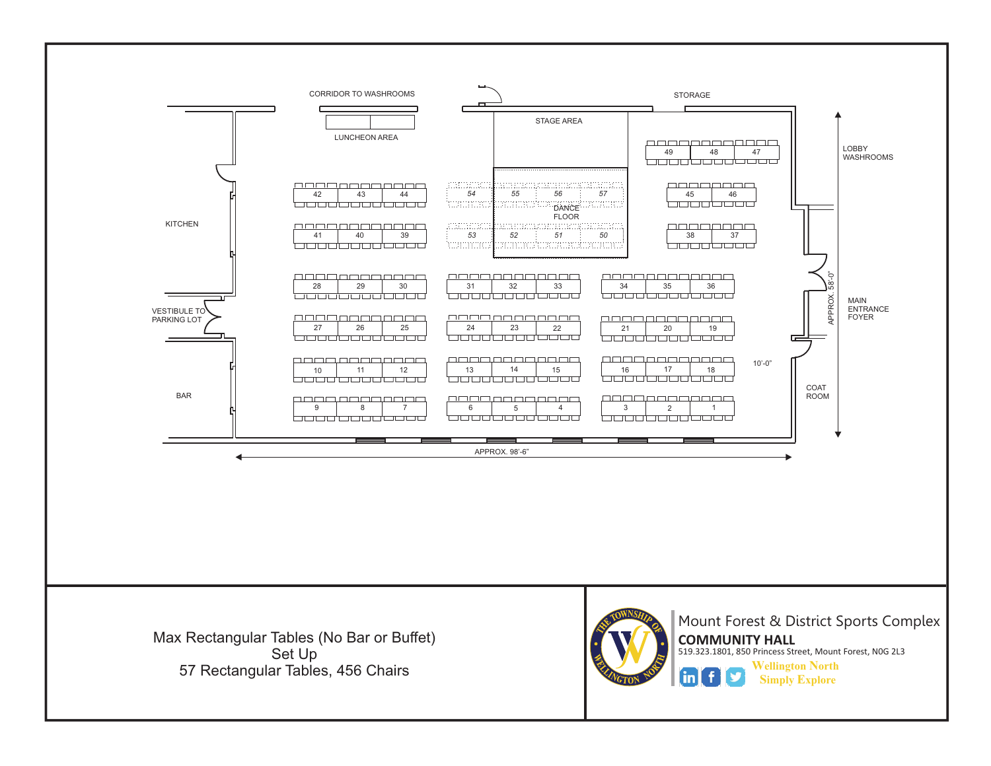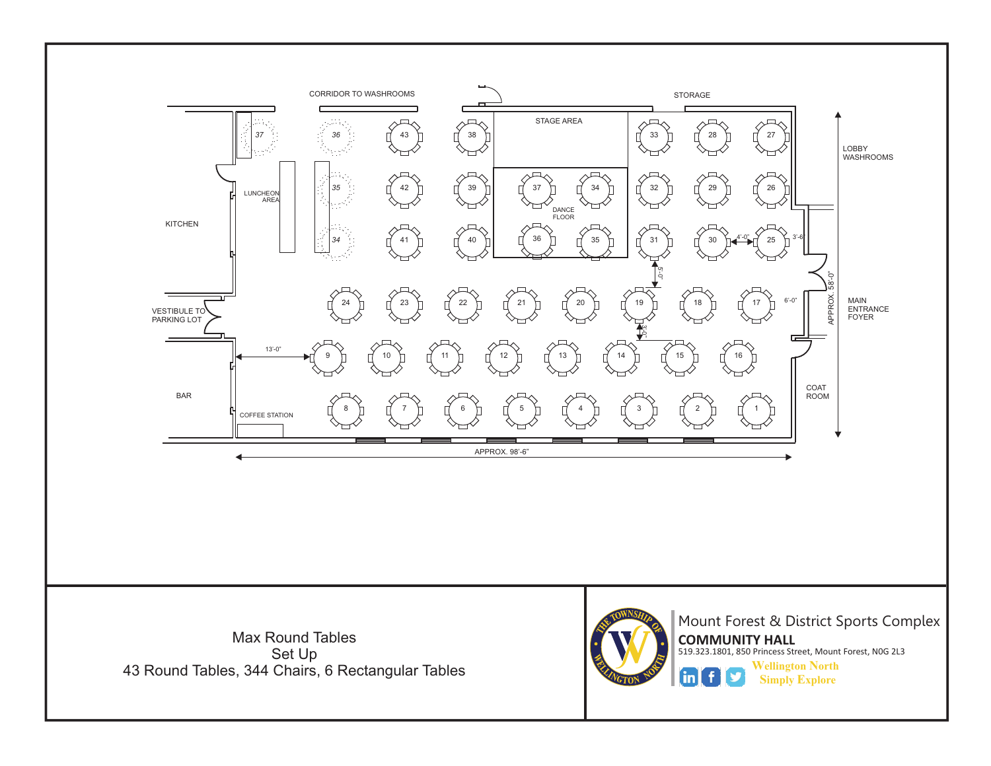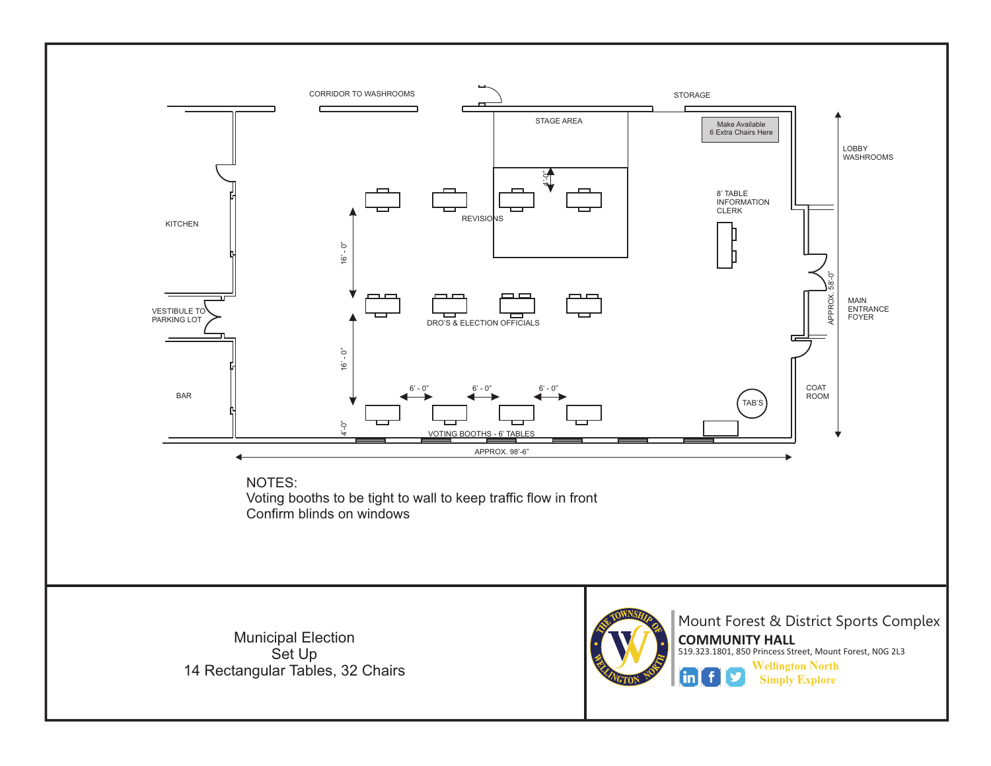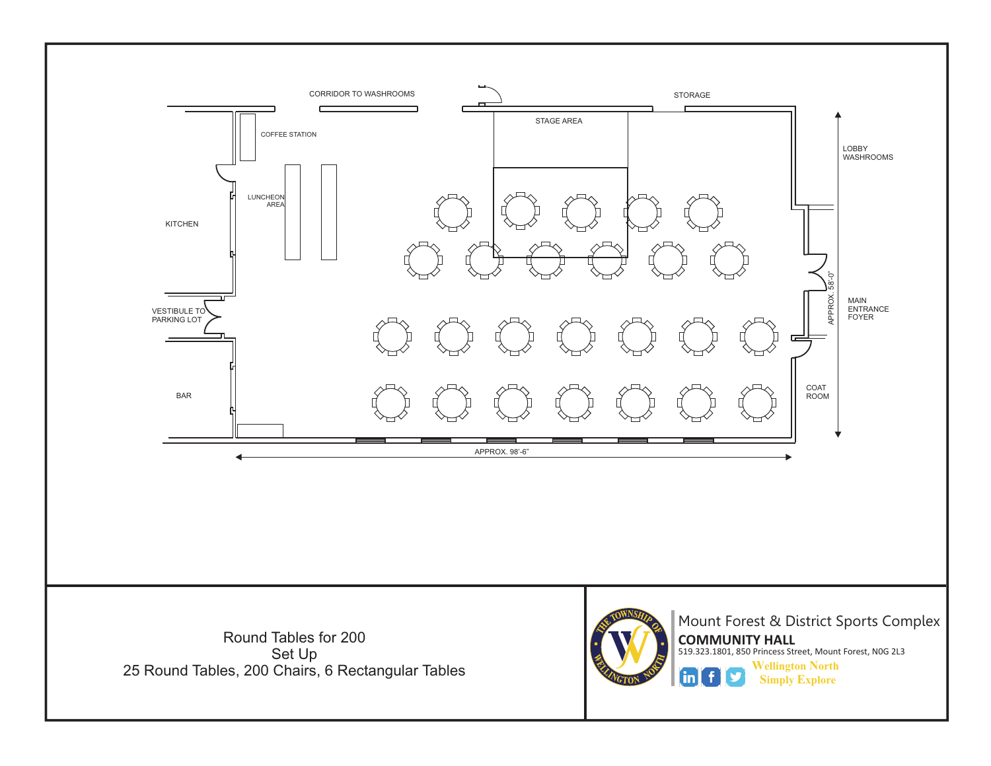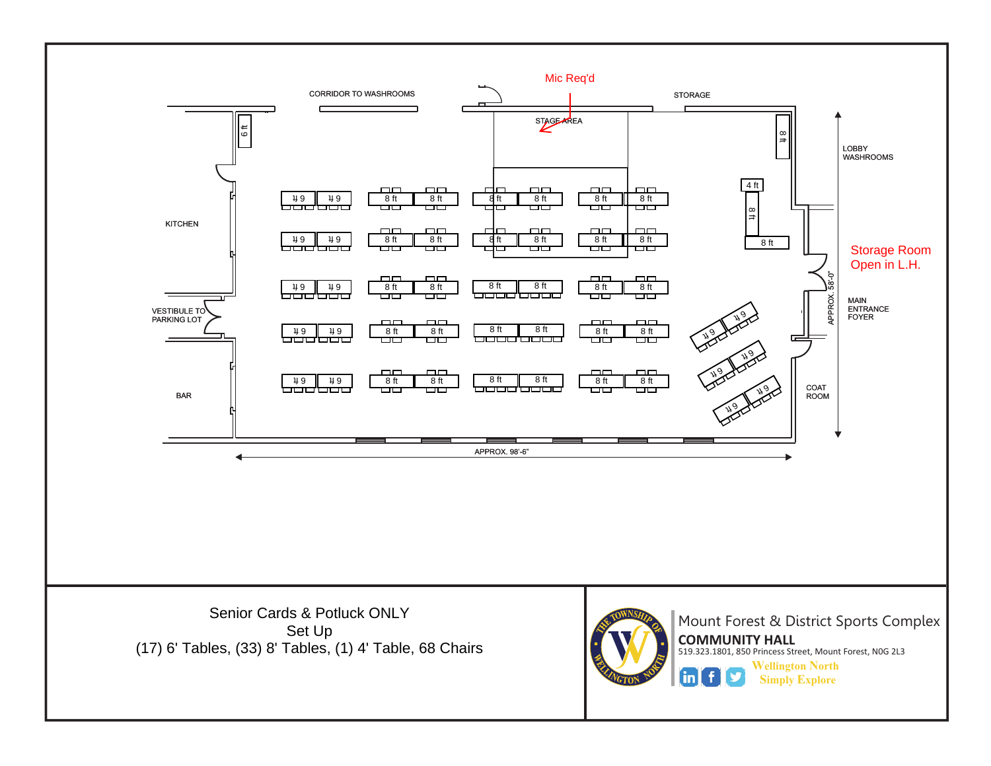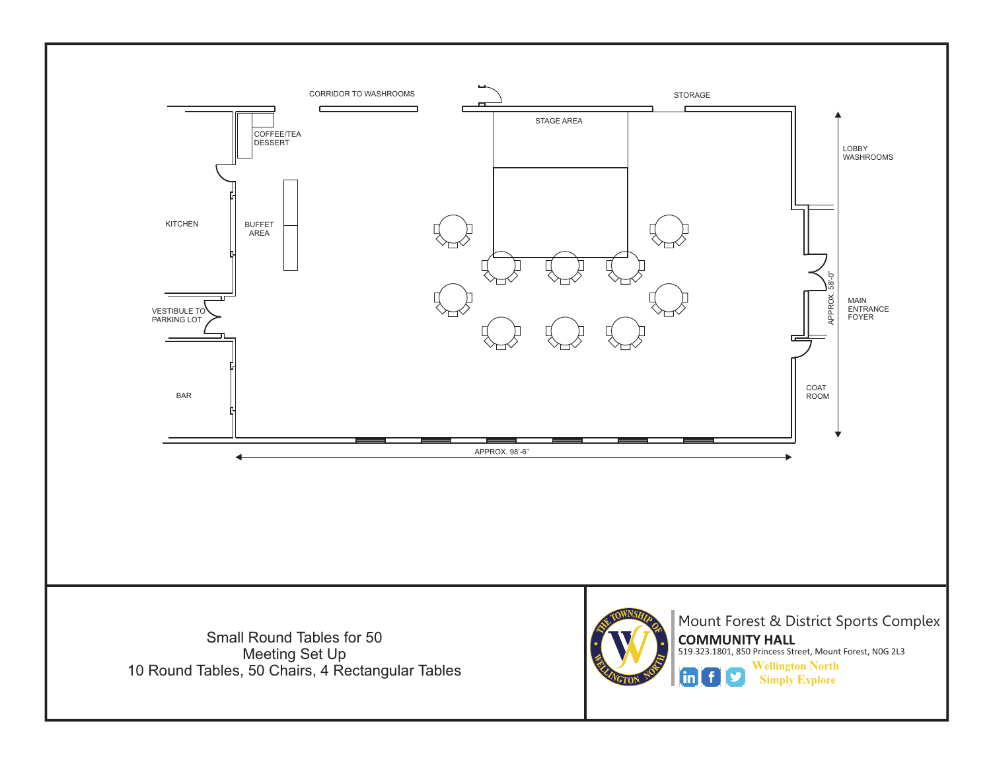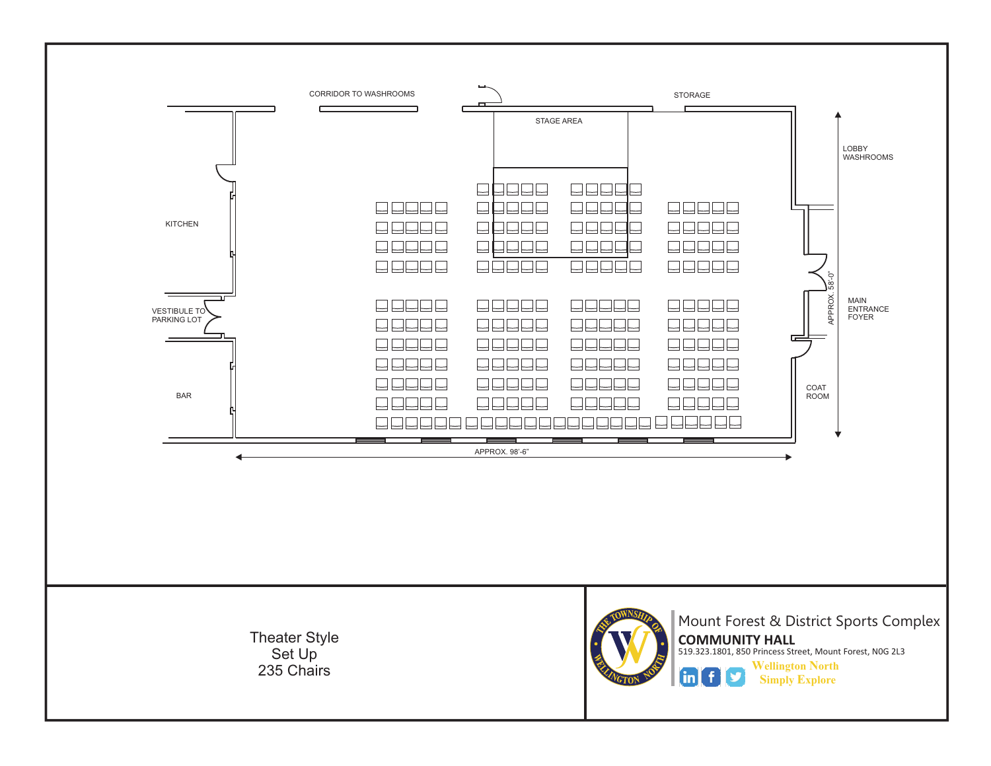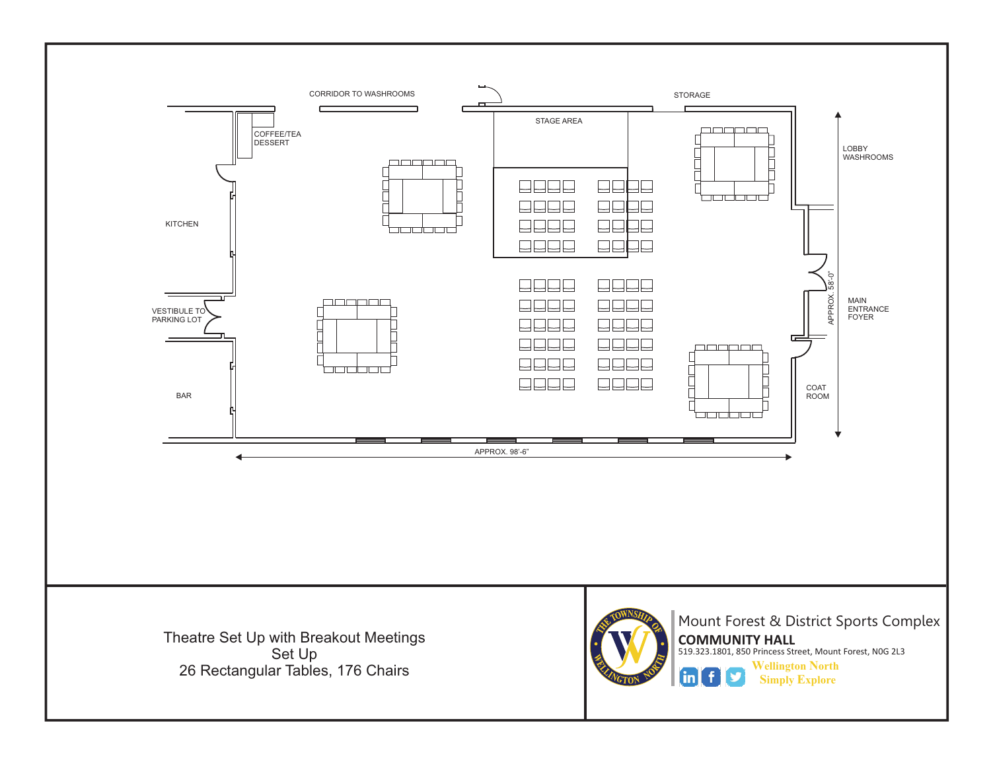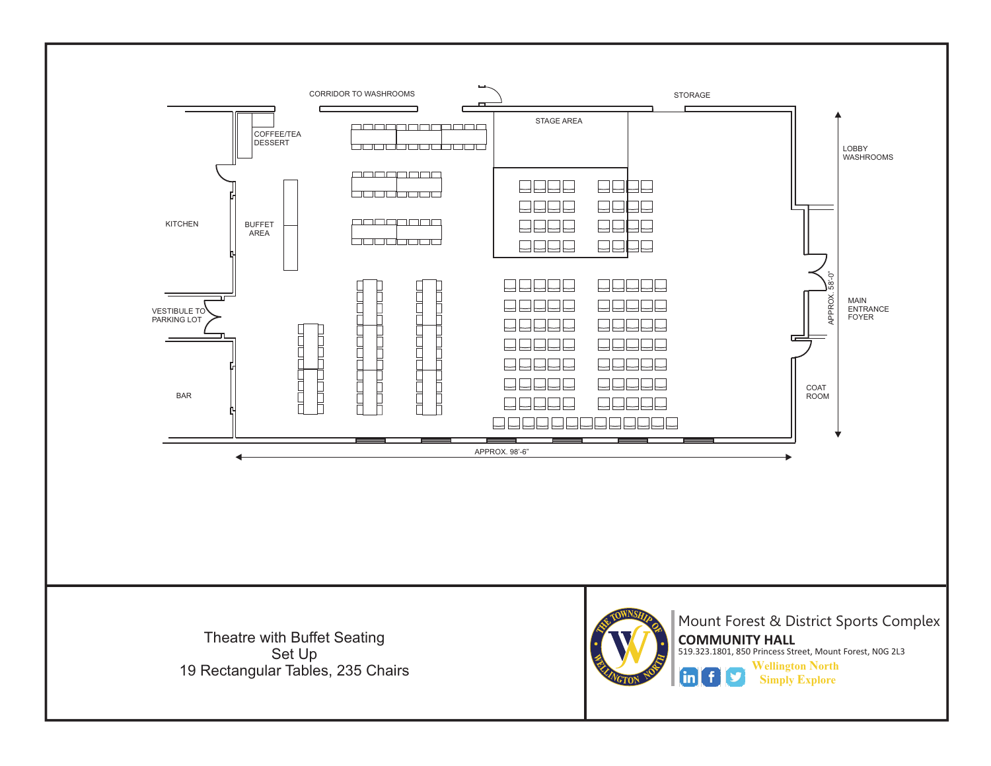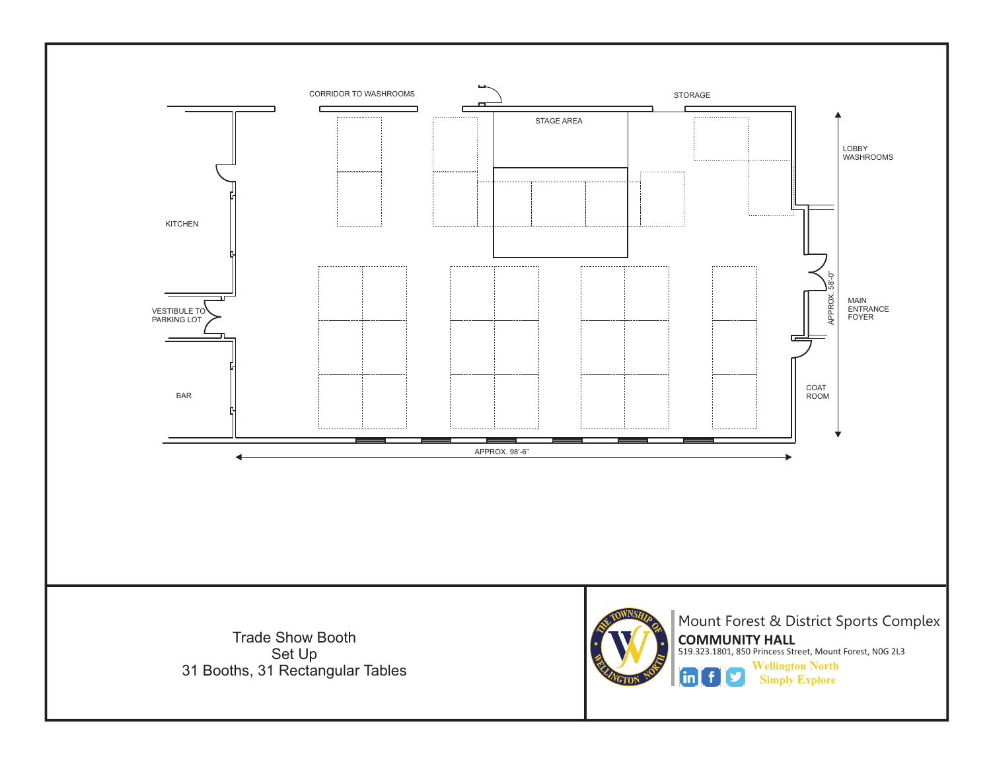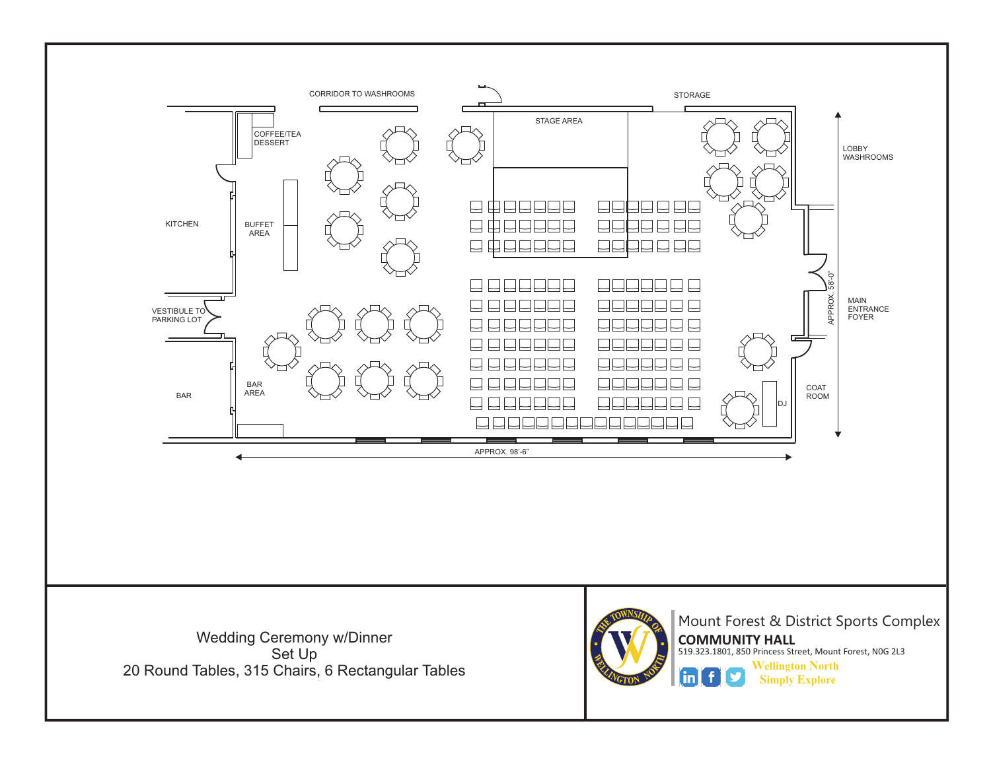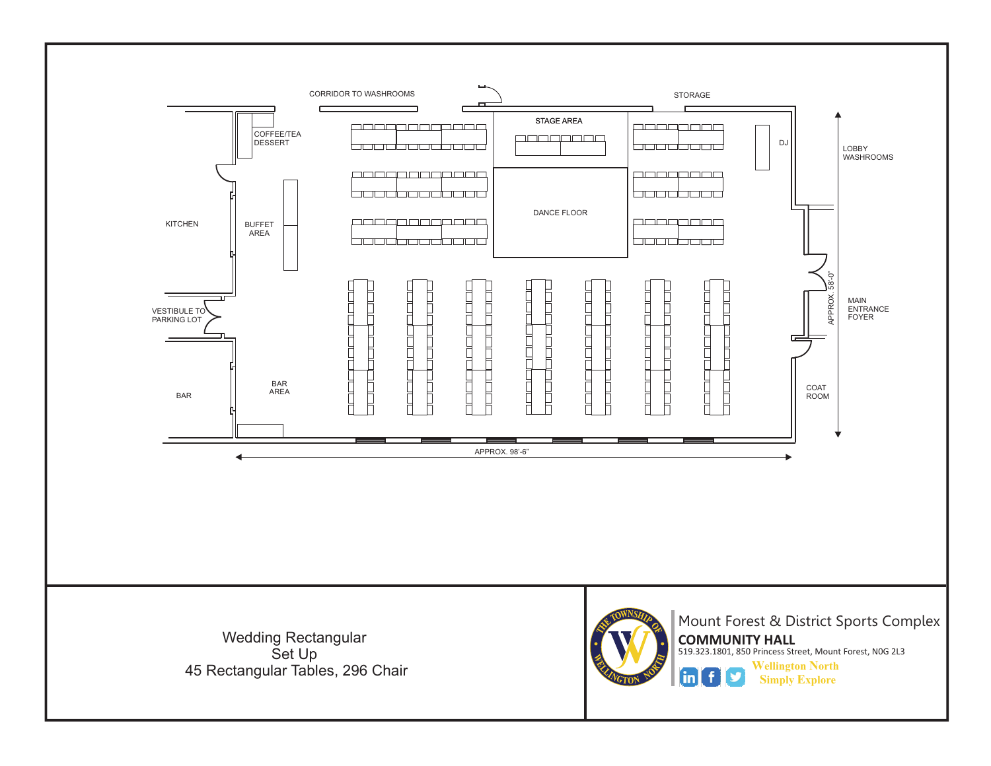